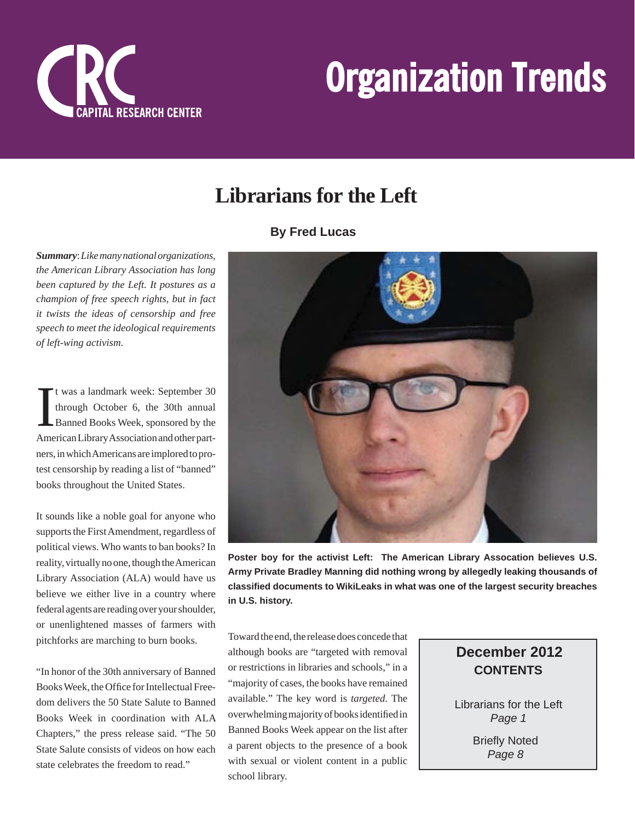

## **Librarians for the Left**

#### **By Fred Lucas**

*Summary*: *Like many national organizations, the American Library Association has long been captured by the Left. It postures as a champion of free speech rights, but in fact it twists the ideas of censorship and free speech to meet the ideological requirements of left-wing activism.*

I t was a landmark week: September 30 through October 6, the 30th annual Banned Books Week, sponsored by the American Library Association and other partners, in which Americans are implored to protest censorship by reading a list of "banned" books throughout the United States.

It sounds like a noble goal for anyone who supports the First Amendment, regardless of political views. Who wants to ban books? In reality, virtually no one, though the American Library Association (ALA) would have us believe we either live in a country where federal agents are reading over your shoulder, or unenlightened masses of farmers with pitchforks are marching to burn books.

"In honor of the 30th anniversary of Banned Books Week, the Office for Intellectual Freedom delivers the 50 State Salute to Banned Books Week in coordination with ALA Chapters," the press release said. "The 50 State Salute consists of videos on how each state celebrates the freedom to read."



**Poster boy for the activist Left: The American Library Assocation believes U.S. Army Private Bradley Manning did nothing wrong by allegedly leaking thousands of classifi ed documents to WikiLeaks in what was one of the largest security breaches in U.S. history.**

Toward the end, the release does concede that although books are "targeted with removal or restrictions in libraries and schools," in a "majority of cases, the books have remained available." The key word is *targeted*. The overwhelming majority of books identified in Banned Books Week appear on the list after a parent objects to the presence of a book with sexual or violent content in a public school library.

## **CONTENTS December 2012**

Librarians for the Left *Page 1*

> **Briefly Noted** *Page 8*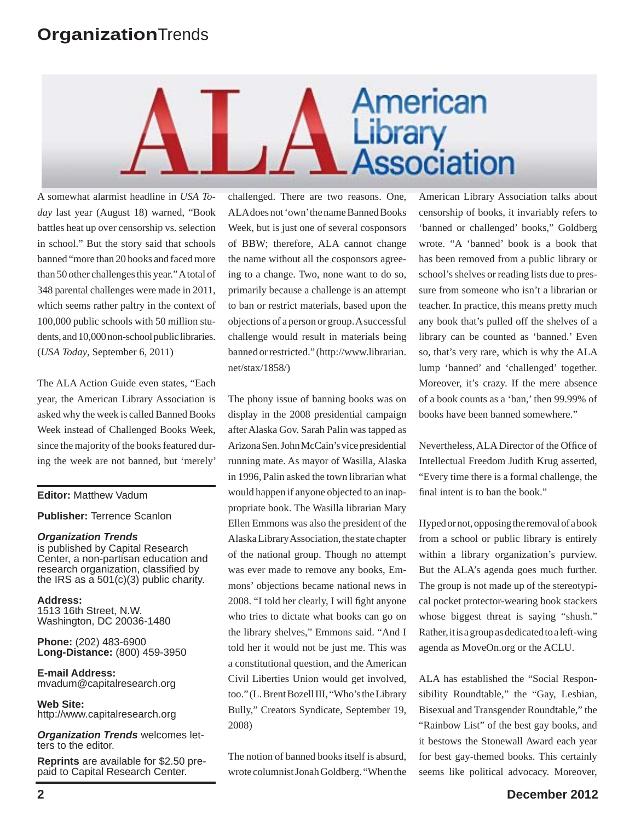# American Library<br>Association

A somewhat alarmist headline in *USA Today* last year (August 18) warned, "Book battles heat up over censorship vs. selection in school." But the story said that schools banned "more than 20 books and faced more than 50 other challenges this year." A total of 348 parental challenges were made in 2011, which seems rather paltry in the context of 100,000 public schools with 50 million students, and 10,000 non-school public libraries. (*USA Today*, September 6, 2011)

The ALA Action Guide even states, "Each year, the American Library Association is asked why the week is called Banned Books Week instead of Challenged Books Week, since the majority of the books featured during the week are not banned, but 'merely'

#### **Editor:** Matthew Vadum

**Publisher:** Terrence Scanlon

#### *Organization Trends*

is published by Capital Research Center, a non-partisan education and research organization, classified by the IRS as a 501(c)(3) public charity.

**Address:** 1513 16th Street, N.W. Washington, DC 20036-1480

**Phone:** (202) 483-6900 **Long-Distance:** (800) 459-3950

**E-mail Address:** mvadum@capitalresearch.org

**Web Site:** http://www.capitalresearch.org

*Organization Trends* welcomes letters to the editor.

**Reprints** are available for \$2.50 prepaid to Capital Research Center.

challenged. There are two reasons. One, ALA does not 'own' the name Banned Books Week, but is just one of several cosponsors of BBW; therefore, ALA cannot change the name without all the cosponsors agreeing to a change. Two, none want to do so, primarily because a challenge is an attempt to ban or restrict materials, based upon the objections of a person or group. A successful challenge would result in materials being banned or restricted." (http://www.librarian. net/stax/1858/)

The phony issue of banning books was on display in the 2008 presidential campaign after Alaska Gov. Sarah Palin was tapped as Arizona Sen. John McCain's vice presidential running mate. As mayor of Wasilla, Alaska in 1996, Palin asked the town librarian what would happen if anyone objected to an inappropriate book. The Wasilla librarian Mary Ellen Emmons was also the president of the Alaska Library Association, the state chapter of the national group. Though no attempt was ever made to remove any books, Emmons' objections became national news in 2008. "I told her clearly, I will fight anyone who tries to dictate what books can go on the library shelves," Emmons said. "And I told her it would not be just me. This was a constitutional question, and the American Civil Liberties Union would get involved, too." (L. Brent Bozell III, "Who's the Library Bully," Creators Syndicate, September 19, 2008)

The notion of banned books itself is absurd, wrote columnist Jonah Goldberg. "When the American Library Association talks about censorship of books, it invariably refers to 'banned or challenged' books," Goldberg wrote. "A 'banned' book is a book that has been removed from a public library or school's shelves or reading lists due to pressure from someone who isn't a librarian or teacher. In practice, this means pretty much any book that's pulled off the shelves of a library can be counted as 'banned.' Even so, that's very rare, which is why the ALA lump 'banned' and 'challenged' together. Moreover, it's crazy. If the mere absence of a book counts as a 'ban,' then 99.99% of books have been banned somewhere."

Nevertheless, ALA Director of the Office of Intellectual Freedom Judith Krug asserted, "Every time there is a formal challenge, the final intent is to ban the book."

Hyped or not, opposing the removal of a book from a school or public library is entirely within a library organization's purview. But the ALA's agenda goes much further. The group is not made up of the stereotypical pocket protector-wearing book stackers whose biggest threat is saying "shush." Rather, it is a group as dedicated to a left-wing agenda as MoveOn.org or the ACLU.

ALA has established the "Social Responsibility Roundtable," the "Gay, Lesbian, Bisexual and Transgender Roundtable," the "Rainbow List" of the best gay books, and it bestows the Stonewall Award each year for best gay-themed books. This certainly seems like political advocacy. Moreover,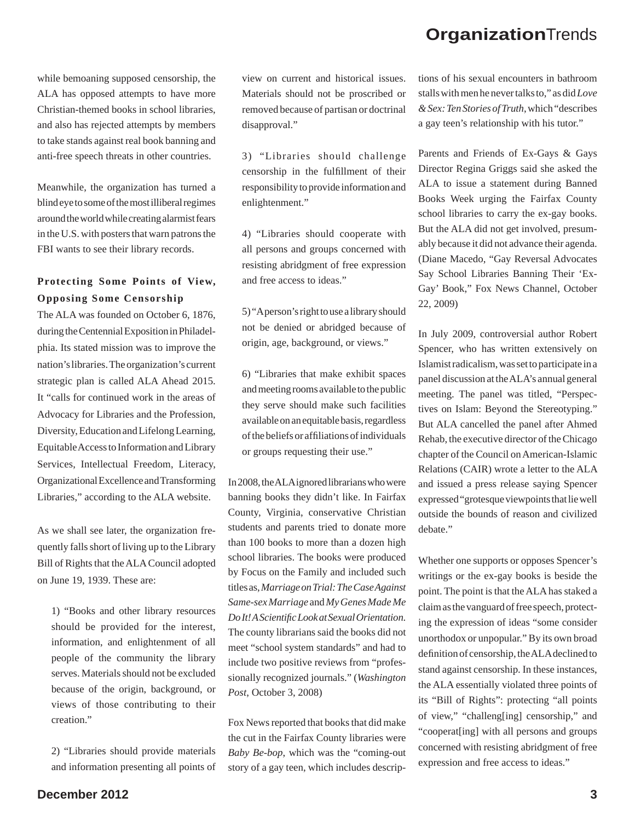while bemoaning supposed censorship, the ALA has opposed attempts to have more Christian-themed books in school libraries, and also has rejected attempts by members to take stands against real book banning and anti-free speech threats in other countries.

Meanwhile, the organization has turned a blind eye to some of the most illiberal regimes around the world while creating alarmist fears in the U.S. with posters that warn patrons the FBI wants to see their library records.

#### **Protecting Some Points of View, Opposing Some Censorship**

The ALA was founded on October 6, 1876, during the Centennial Exposition in Philadelphia. Its stated mission was to improve the nation's libraries. The organization's current strategic plan is called ALA Ahead 2015. It "calls for continued work in the areas of Advocacy for Libraries and the Profession, Diversity, Education and Lifelong Learning, Equitable Access to Information and Library Services, Intellectual Freedom, Literacy, Organizational Excellence and Transforming Libraries," according to the ALA website.

As we shall see later, the organization frequently falls short of living up to the Library Bill of Rights that the ALA Council adopted on June 19, 1939. These are:

1) "Books and other library resources should be provided for the interest, information, and enlightenment of all people of the community the library serves. Materials should not be excluded because of the origin, background, or views of those contributing to their creation."

2) "Libraries should provide materials and information presenting all points of view on current and historical issues. Materials should not be proscribed or removed because of partisan or doctrinal disapproval."

3) "Libraries should challenge censorship in the fulfillment of their responsibility to provide information and enlightenment."

4) "Libraries should cooperate with all persons and groups concerned with resisting abridgment of free expression and free access to ideas."

5) "A person's right to use a library should not be denied or abridged because of origin, age, background, or views."

6) "Libraries that make exhibit spaces and meeting rooms available to the public they serve should make such facilities available on an equitable basis, regardless of the beliefs or affiliations of individuals or groups requesting their use."

In 2008, the ALA ignored librarians who were banning books they didn't like. In Fairfax County, Virginia, conservative Christian students and parents tried to donate more than 100 books to more than a dozen high school libraries. The books were produced by Focus on the Family and included such titles as, *Marriage on Trial: The Case Against Same-sex Marriage* and *My Genes Made Me Do It! A Scientifi c Look at Sexual Orientation*. The county librarians said the books did not meet "school system standards" and had to include two positive reviews from "professionally recognized journals." (*Washington Post*, October 3, 2008)

Fox News reported that books that did make the cut in the Fairfax County libraries were *Baby Be-bop*, which was the "coming-out story of a gay teen, which includes descriptions of his sexual encounters in bathroom stalls with men he never talks to," as did *Love & Sex: Ten Stories of Truth*, which "describes a gay teen's relationship with his tutor."

Parents and Friends of Ex-Gays & Gays Director Regina Griggs said she asked the ALA to issue a statement during Banned Books Week urging the Fairfax County school libraries to carry the ex-gay books. But the ALA did not get involved, presumably because it did not advance their agenda. (Diane Macedo, "Gay Reversal Advocates Say School Libraries Banning Their 'Ex-Gay' Book," Fox News Channel, October 22, 2009)

In July 2009, controversial author Robert Spencer, who has written extensively on Islamist radicalism, was set to participate in a panel discussion at the ALA's annual general meeting. The panel was titled, "Perspectives on Islam: Beyond the Stereotyping." But ALA cancelled the panel after Ahmed Rehab, the executive director of the Chicago chapter of the Council on American-Islamic Relations (CAIR) wrote a letter to the ALA and issued a press release saying Spencer expressed "grotesque viewpoints that lie well outside the bounds of reason and civilized debate."

Whether one supports or opposes Spencer's writings or the ex-gay books is beside the point. The point is that the ALA has staked a claim as the vanguard of free speech, protecting the expression of ideas "some consider unorthodox or unpopular." By its own broad definition of censorship, the ALA declined to stand against censorship. In these instances, the ALA essentially violated three points of its "Bill of Rights": protecting "all points of view," "challeng[ing] censorship," and "cooperat[ing] with all persons and groups concerned with resisting abridgment of free expression and free access to ideas."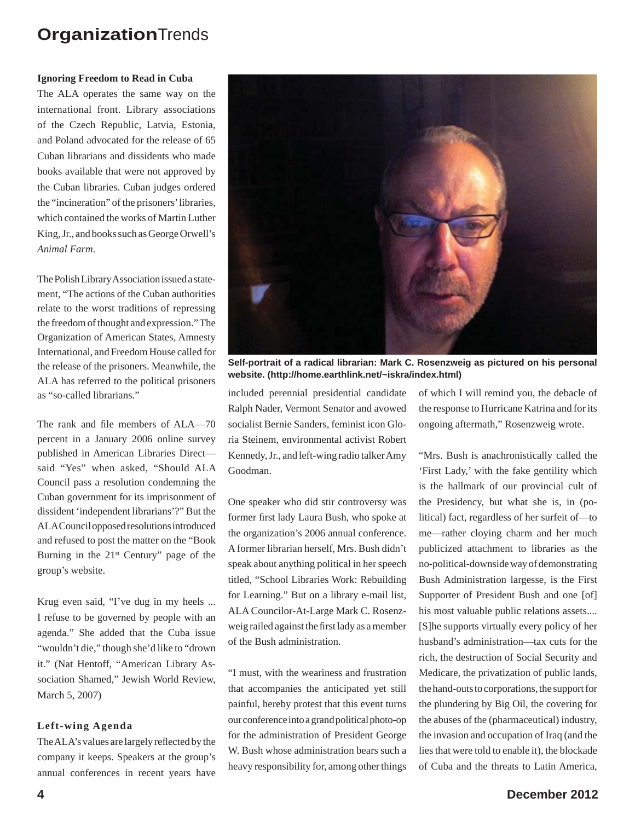#### **Ignoring Freedom to Read in Cuba**

The ALA operates the same way on the international front. Library associations of the Czech Republic, Latvia, Estonia, and Poland advocated for the release of 65 Cuban librarians and dissidents who made books available that were not approved by the Cuban libraries. Cuban judges ordered the "incineration" of the prisoners' libraries, which contained the works of Martin Luther King, Jr., and books such as George Orwell's *Animal Farm*.

The Polish Library Association issued a statement, "The actions of the Cuban authorities relate to the worst traditions of repressing the freedom of thought and expression." The Organization of American States, Amnesty International, and Freedom House called for the release of the prisoners. Meanwhile, the ALA has referred to the political prisoners as "so-called librarians."

The rank and file members of ALA—70 percent in a January 2006 online survey published in American Libraries Direct said "Yes" when asked, "Should ALA Council pass a resolution condemning the Cuban government for its imprisonment of dissident 'independent librarians'?" But the ALA Council opposed resolutions introduced and refused to post the matter on the "Book Burning in the  $21<sup>st</sup>$  Century" page of the group's website.

Krug even said, "I've dug in my heels ... I refuse to be governed by people with an agenda." She added that the Cuba issue "wouldn't die," though she'd like to "drown it." (Nat Hentoff, "American Library Association Shamed," Jewish World Review, March 5, 2007)

#### **Left-wing Agenda**

The ALA's values are largely reflected by the company it keeps. Speakers at the group's annual conferences in recent years have



**Self-portrait of a radical librarian: Mark C. Rosenzweig as pictured on his personal website. (http://home.earthlink.net/~iskra/index.html)**

included perennial presidential candidate Ralph Nader, Vermont Senator and avowed socialist Bernie Sanders, feminist icon Gloria Steinem, environmental activist Robert Kennedy, Jr., and left-wing radio talker Amy Goodman.

One speaker who did stir controversy was former first lady Laura Bush, who spoke at the organization's 2006 annual conference. A former librarian herself, Mrs. Bush didn't speak about anything political in her speech titled, "School Libraries Work: Rebuilding for Learning." But on a library e-mail list, ALA Councilor-At-Large Mark C. Rosenzweig railed against the first lady as a member of the Bush administration.

"I must, with the weariness and frustration that accompanies the anticipated yet still painful, hereby protest that this event turns our conference into a grand political photo-op for the administration of President George W. Bush whose administration bears such a heavy responsibility for, among other things of which I will remind you, the debacle of the response to Hurricane Katrina and for its ongoing aftermath," Rosenzweig wrote.

"Mrs. Bush is anachronistically called the 'First Lady,' with the fake gentility which is the hallmark of our provincial cult of the Presidency, but what she is, in (political) fact, regardless of her surfeit of—to me—rather cloying charm and her much publicized attachment to libraries as the no-political-downside way of demonstrating Bush Administration largesse, is the First Supporter of President Bush and one [of] his most valuable public relations assets.... [S]he supports virtually every policy of her husband's administration—tax cuts for the rich, the destruction of Social Security and Medicare, the privatization of public lands, the hand-outs to corporations, the support for the plundering by Big Oil, the covering for the abuses of the (pharmaceutical) industry, the invasion and occupation of Iraq (and the lies that were told to enable it), the blockade of Cuba and the threats to Latin America,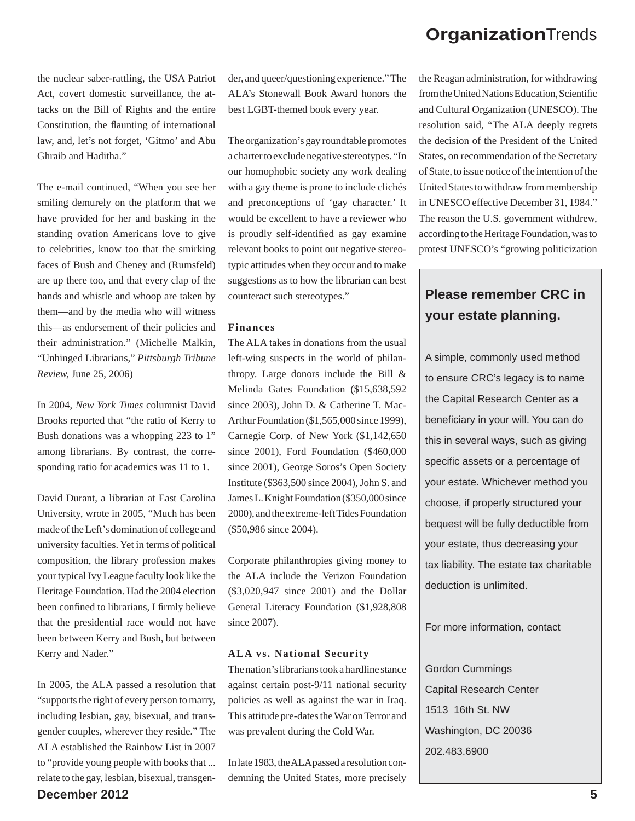the nuclear saber-rattling, the USA Patriot Act, covert domestic surveillance, the attacks on the Bill of Rights and the entire Constitution, the flaunting of international law, and, let's not forget, 'Gitmo' and Abu Ghraib and Haditha."

The e-mail continued, "When you see her smiling demurely on the platform that we have provided for her and basking in the standing ovation Americans love to give to celebrities, know too that the smirking faces of Bush and Cheney and (Rumsfeld) are up there too, and that every clap of the hands and whistle and whoop are taken by them—and by the media who will witness this—as endorsement of their policies and their administration." (Michelle Malkin, "Unhinged Librarians," *Pittsburgh Tribune Review,* June 25, 2006)

In 2004, *New York Times* columnist David Brooks reported that "the ratio of Kerry to Bush donations was a whopping 223 to 1" among librarians. By contrast, the corresponding ratio for academics was 11 to 1.

David Durant, a librarian at East Carolina University, wrote in 2005, "Much has been made of the Left's domination of college and university faculties. Yet in terms of political composition, the library profession makes your typical Ivy League faculty look like the Heritage Foundation. Had the 2004 election been confined to librarians, I firmly believe that the presidential race would not have been between Kerry and Bush, but between Kerry and Nader."

**December 2012 5** In 2005, the ALA passed a resolution that "supports the right of every person to marry, including lesbian, gay, bisexual, and transgender couples, wherever they reside." The ALA established the Rainbow List in 2007 to "provide young people with books that ... relate to the gay, lesbian, bisexual, transgen-

der, and queer/questioning experience." The ALA's Stonewall Book Award honors the best LGBT-themed book every year.

The organization's gay roundtable promotes a charter to exclude negative stereotypes. "In our homophobic society any work dealing with a gay theme is prone to include clichés and preconceptions of 'gay character.' It would be excellent to have a reviewer who is proudly self-identified as gay examine relevant books to point out negative stereotypic attitudes when they occur and to make suggestions as to how the librarian can best counteract such stereotypes."

#### **Finances**

The ALA takes in donations from the usual left-wing suspects in the world of philanthropy. Large donors include the Bill & Melinda Gates Foundation (\$15,638,592 since 2003), John D. & Catherine T. Mac-Arthur Foundation (\$1,565,000 since 1999), Carnegie Corp. of New York (\$1,142,650 since 2001), Ford Foundation (\$460,000 since 2001), George Soros's Open Society Institute (\$363,500 since 2004), John S. and James L. Knight Foundation (\$350,000 since 2000), and the extreme-left Tides Foundation (\$50,986 since 2004).

Corporate philanthropies giving money to the ALA include the Verizon Foundation (\$3,020,947 since 2001) and the Dollar General Literacy Foundation (\$1,928,808 since 2007).

#### **ALA vs. National Security**

The nation's librarians took a hardline stance against certain post-9/11 national security policies as well as against the war in Iraq. This attitude pre-dates the War on Terror and was prevalent during the Cold War.

In late 1983, the ALA passed a resolution condemning the United States, more precisely the Reagan administration, for withdrawing from the United Nations Education, Scientific and Cultural Organization (UNESCO). The resolution said, "The ALA deeply regrets the decision of the President of the United States, on recommendation of the Secretary of State, to issue notice of the intention of the United States to withdraw from membership in UNESCO effective December 31, 1984." The reason the U.S. government withdrew, according to the Heritage Foundation, was to protest UNESCO's "growing politicization

### **Please remember CRC in your estate planning.**

A simple, commonly used method to ensure CRC's legacy is to name the Capital Research Center as a beneficiary in your will. You can do this in several ways, such as giving specific assets or a percentage of your estate. Whichever method you choose, if properly structured your bequest will be fully deductible from your estate, thus decreasing your tax liability. The estate tax charitable deduction is unlimited.

#### For more information, contact

Gordon Cummings Capital Research Center 1513 16th St. NW Washington, DC 20036 202.483.6900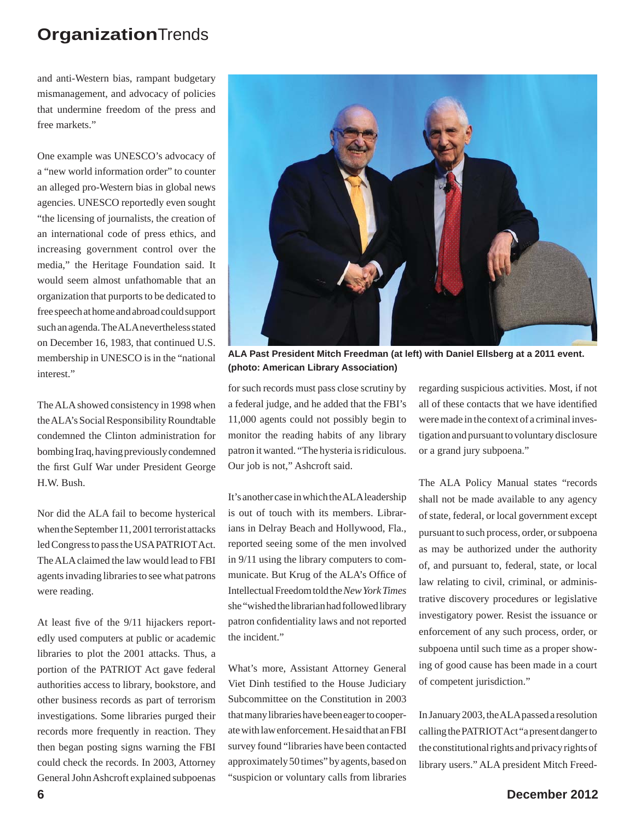and anti-Western bias, rampant budgetary mismanagement, and advocacy of policies that undermine freedom of the press and free markets."

One example was UNESCO's advocacy of a "new world information order" to counter an alleged pro-Western bias in global news agencies. UNESCO reportedly even sought "the licensing of journalists, the creation of an international code of press ethics, and increasing government control over the media," the Heritage Foundation said. It would seem almost unfathomable that an organization that purports to be dedicated to free speech at home and abroad could support such an agenda. The ALA nevertheless stated on December 16, 1983, that continued U.S. membership in UNESCO is in the "national interest."

The ALA showed consistency in 1998 when the ALA's Social Responsibility Roundtable condemned the Clinton administration for bombing Iraq, having previously condemned the first Gulf War under President George H.W. Bush.

Nor did the ALA fail to become hysterical when the September 11, 2001 terrorist attacks led Congress to pass the USA PATRIOT Act. The ALA claimed the law would lead to FBI agents invading libraries to see what patrons were reading.

At least five of the 9/11 hijackers reportedly used computers at public or academic libraries to plot the 2001 attacks. Thus, a portion of the PATRIOT Act gave federal authorities access to library, bookstore, and other business records as part of terrorism investigations. Some libraries purged their records more frequently in reaction. They then began posting signs warning the FBI could check the records. In 2003, Attorney General John Ashcroft explained subpoenas



**ALA Past President Mitch Freedman (at left) with Daniel Ellsberg at a 2011 event. (photo: American Library Association)**

for such records must pass close scrutiny by a federal judge, and he added that the FBI's 11,000 agents could not possibly begin to monitor the reading habits of any library patron it wanted. "The hysteria is ridiculous. Our job is not," Ashcroft said.

It's another case in which the ALA leadership is out of touch with its members. Librarians in Delray Beach and Hollywood, Fla., reported seeing some of the men involved in 9/11 using the library computers to communicate. But Krug of the ALA's Office of Intellectual Freedom told the *New York Times* she "wished the librarian had followed library patron confidentiality laws and not reported the incident."

What's more, Assistant Attorney General Viet Dinh testified to the House Judiciary Subcommittee on the Constitution in 2003 that many libraries have been eager to cooperate with law enforcement. He said that an FBI survey found "libraries have been contacted approximately 50 times" by agents, based on "suspicion or voluntary calls from libraries regarding suspicious activities. Most, if not all of these contacts that we have identified were made in the context of a criminal investigation and pursuant to voluntary disclosure or a grand jury subpoena."

The ALA Policy Manual states "records shall not be made available to any agency of state, federal, or local government except pursuant to such process, order, or subpoena as may be authorized under the authority of, and pursuant to, federal, state, or local law relating to civil, criminal, or administrative discovery procedures or legislative investigatory power. Resist the issuance or enforcement of any such process, order, or subpoena until such time as a proper showing of good cause has been made in a court of competent jurisdiction."

In January 2003, the ALA passed a resolution calling the PATRIOT Act "a present danger to the constitutional rights and privacy rights of library users." ALA president Mitch Freed-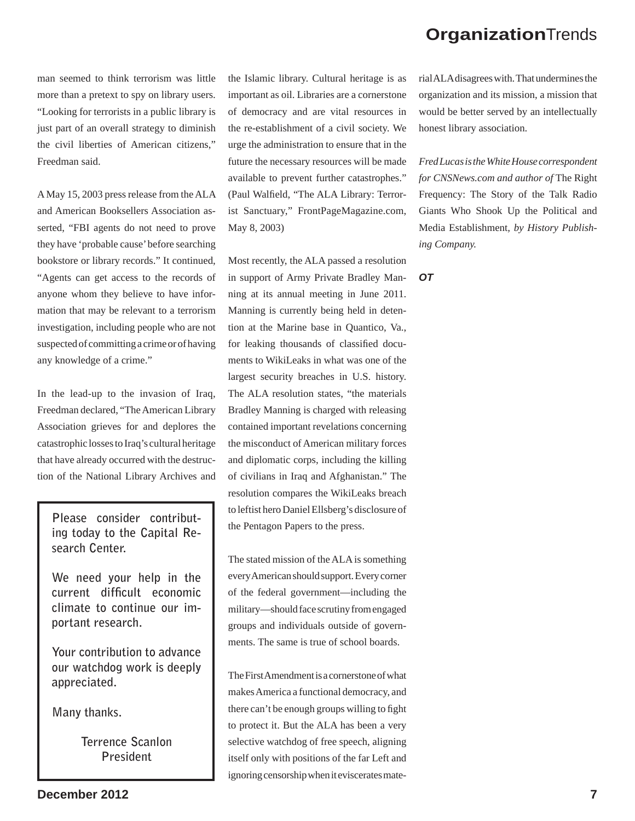man seemed to think terrorism was little more than a pretext to spy on library users. "Looking for terrorists in a public library is just part of an overall strategy to diminish the civil liberties of American citizens," Freedman said.

A May 15, 2003 press release from the ALA and American Booksellers Association asserted, "FBI agents do not need to prove they have 'probable cause' before searching bookstore or library records." It continued, "Agents can get access to the records of anyone whom they believe to have information that may be relevant to a terrorism investigation, including people who are not suspected of committing a crime or of having any knowledge of a crime."

In the lead-up to the invasion of Iraq, Freedman declared, "The American Library Association grieves for and deplores the catastrophic losses to Iraq's cultural heritage that have already occurred with the destruction of the National Library Archives and

**Please consider contributing today to the Capital Research Center.**

**We need your help in the**  current difficult economic **climate to continue our important research.** 

**Your contribution to advance our watchdog work is deeply appreciated.** 

**Many thanks.** 

**Terrence Scanlon President**

the Islamic library. Cultural heritage is as important as oil. Libraries are a cornerstone of democracy and are vital resources in the re-establishment of a civil society. We urge the administration to ensure that in the future the necessary resources will be made available to prevent further catastrophes." (Paul Walfield, "The ALA Library: Terrorist Sanctuary," FrontPageMagazine.com, May 8, 2003)

Most recently, the ALA passed a resolution in support of Army Private Bradley Manning at its annual meeting in June 2011. Manning is currently being held in detention at the Marine base in Quantico, Va., for leaking thousands of classified documents to WikiLeaks in what was one of the largest security breaches in U.S. history. The ALA resolution states, "the materials Bradley Manning is charged with releasing contained important revelations concerning the misconduct of American military forces and diplomatic corps, including the killing of civilians in Iraq and Afghanistan." The resolution compares the WikiLeaks breach to leftist hero Daniel Ellsberg's disclosure of the Pentagon Papers to the press.

The stated mission of the ALA is something every American should support. Every corner of the federal government—including the military—should face scrutiny from engaged groups and individuals outside of governments. The same is true of school boards.

The First Amendment is a cornerstone of what makes America a functional democracy, and there can't be enough groups willing to fight to protect it. But the ALA has been a very selective watchdog of free speech, aligning itself only with positions of the far Left and ignoring censorship when it eviscerates material ALA disagrees with. That undermines the organization and its mission, a mission that would be better served by an intellectually honest library association.

*Fred Lucas is the White House correspondent for CNSNews.com and author of* The Right Frequency: The Story of the Talk Radio Giants Who Shook Up the Political and Media Establishment*, by History Publishing Company.*

*OT*